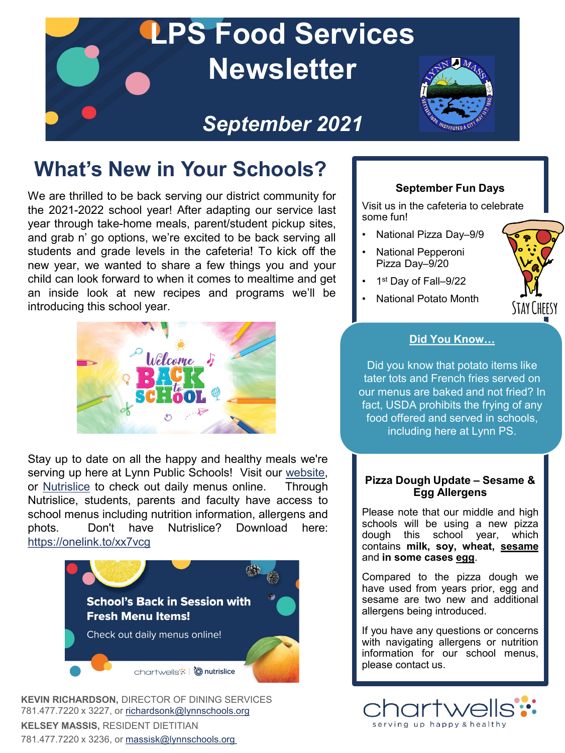

## **What's New in Your Schools?**

We are thrilled to be back serving our district community for the 2021-2022 school year! After adapting our service last year through take-home meals, parent/student pickup sites, and grab n' go options, we're excited to be back serving all students and grade levels in the cafeteria! To kick off the new year, we wanted to share a few things you and your child can look forward to when it comes to mealtime and get an inside look at new recipes and programs we'll be introducing this school year.



Stay up to date on all the happy and healthy meals we're serving up here at Lynn Public Schools! Visit our [website](http://www.lynnschools.net/index.shtml), or [Nutrislice](https://lynnschools.nutrislice.com/menu) to check out daily menus online. Through Nutrislice, students, parents and faculty have access to school menus including nutrition information, allergens and phots. Don't have Nutrislice? Download here: <https://onelink.to/xx7vcg>



**KEVIN RICHARDSON,** DIRECTOR OF DINING SERVICES 781.477.7220 x 3227, or [richardsonk@lynnschools.org](mailto:richardsonk@lynnschools.org) **KELSEY MASSIS,** RESIDENT DIETITIAN 781.477.7220 x 3236, or [massisk@lynnschools.org](mailto:massisk@lynnschools.org)

### **September Fun Days**

Visit us in the cafeteria to celebrate some fun!

- National Pizza Day–9/9
- National Pepperoni Pizza Day–9/20
- 1st Day of Fall-9/22
- National Potato Month



### **Did You Know…**

Did you know that potato items like tater tots and French fries served on our menus are baked and not fried? In fact, USDA prohibits the frying of any food offered and served in schools, including here at Lynn PS.

### **Pizza Dough Update – Sesame & Egg Allergens**

Please note that our middle and high schools will be using a new pizza dough this school year, which contains **milk, soy, wheat, sesame** and **in some cases egg**.

Compared to the pizza dough we have used from years prior, egg and sesame are two new and additional allergens being introduced.

If you have any questions or concerns with navigating allergens or nutrition information for our school menus, please contact us.